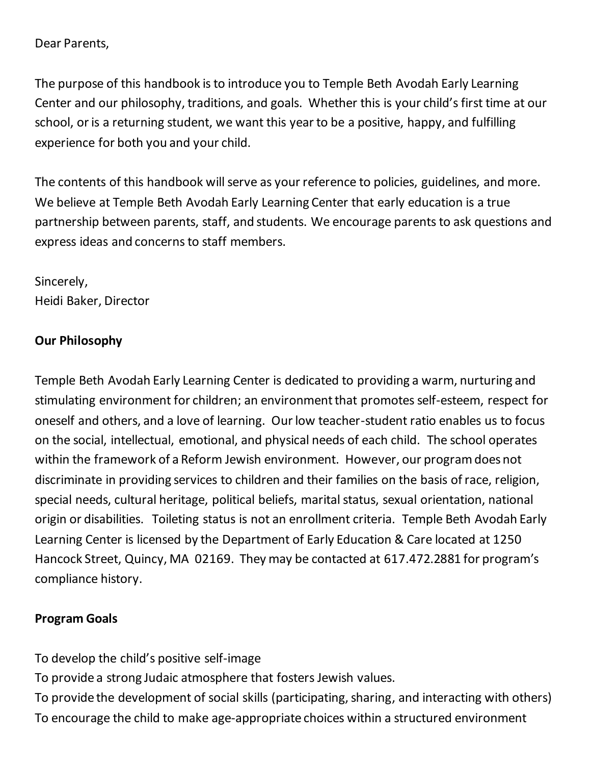#### Dear Parents,

The purpose of this handbook is to introduce you to Temple Beth Avodah Early Learning Center and our philosophy, traditions, and goals. Whether this is your child's first time at our school, or is a returning student, we want this year to be a positive, happy, and fulfilling experience for both you and your child.

The contents of this handbook will serve as your reference to policies, guidelines, and more. We believe at Temple Beth Avodah Early Learning Center that early education is a true partnership between parents, staff, and students. We encourage parents to ask questions and express ideas and concerns to staff members.

Sincerely, Heidi Baker, Director

## **Our Philosophy**

Temple Beth Avodah Early Learning Center is dedicated to providing a warm, nurturing and stimulating environment for children; an environment that promotes self-esteem, respect for oneself and others, and a love of learning. Our low teacher-student ratio enables us to focus on the social, intellectual, emotional, and physical needs of each child. The school operates within the framework of a Reform Jewish environment. However, our program does not discriminate in providing services to children and their families on the basis of race, religion, special needs, cultural heritage, political beliefs, marital status, sexual orientation, national origin or disabilities. Toileting status is not an enrollment criteria. Temple Beth Avodah Early Learning Center is licensed by the Department of Early Education & Care located at 1250 Hancock Street, Quincy, MA 02169. They may be contacted at 617.472.2881 for program's compliance history.

## **Program Goals**

To develop the child's positive self-image To provide a strong Judaic atmosphere that fosters Jewish values. To provide the development of social skills (participating, sharing, and interacting with others) To encourage the child to make age-appropriate choices within a structured environment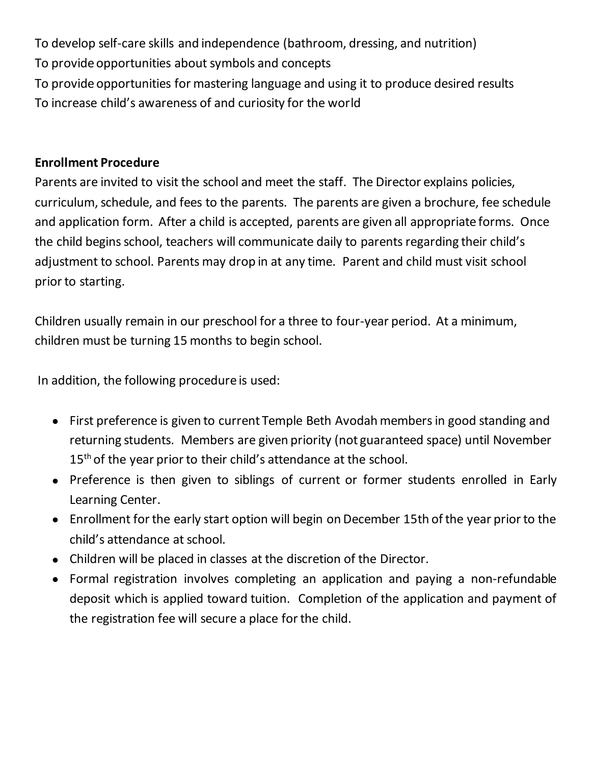To develop self-care skills and independence (bathroom, dressing, and nutrition) To provide opportunities about symbols and concepts To provide opportunities for mastering language and using it to produce desired results To increase child's awareness of and curiosity for the world

## **Enrollment Procedure**

Parents are invited to visit the school and meet the staff. The Director explains policies, curriculum, schedule, and fees to the parents. The parents are given a brochure, fee schedule and application form. After a child is accepted, parents are given all appropriate forms. Once the child begins school, teachers will communicate daily to parents regarding their child's adjustment to school. Parents may drop in at any time. Parent and child must visit school prior to starting.

Children usually remain in our preschool for a three to four-year period. At a minimum, children must be turning 15 months to begin school.

In addition, the following procedure is used:

- First preference is given to current Temple Beth Avodah members in good standing and returning students. Members are given priority (not guaranteed space) until November 15<sup>th</sup> of the year prior to their child's attendance at the school.
- Preference is then given to siblings of current or former students enrolled in Early Learning Center.
- Enrollment for the early start option will begin on December 15th of the year prior to the child's attendance at school.
- Children will be placed in classes at the discretion of the Director.
- Formal registration involves completing an application and paying a non-refundable deposit which is applied toward tuition. Completion of the application and payment of the registration fee will secure a place for the child.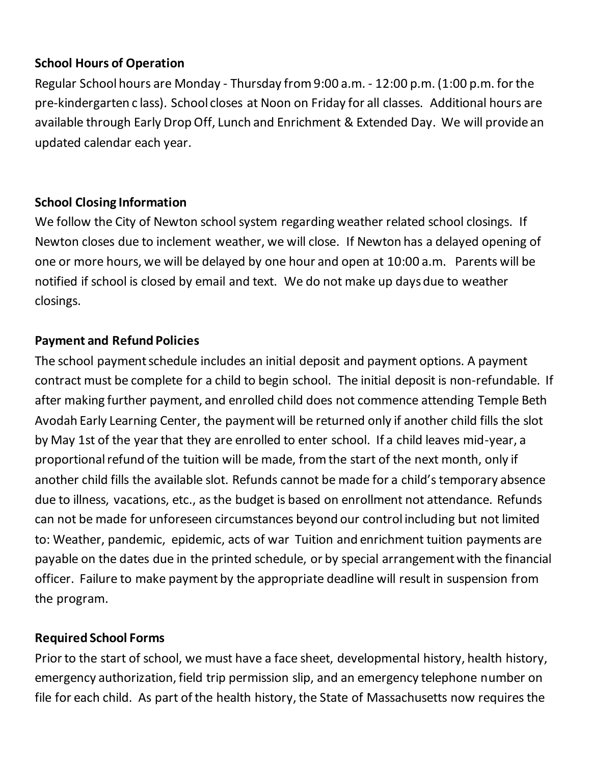## **School Hours of Operation**

Regular School hours are Monday - Thursday from 9:00 a.m. - 12:00 p.m. (1:00 p.m. for the pre-kindergarten c lass). School closes at Noon on Friday for all classes. Additional hours are available through Early Drop Off, Lunch and Enrichment & Extended Day. We will provide an updated calendar each year.

## **School Closing Information**

We follow the City of Newton school system regarding weather related school closings. If Newton closes due to inclement weather, we will close. If Newton has a delayed opening of one or more hours, we will be delayed by one hour and open at 10:00 a.m. Parents will be notified if school is closed by email and text. We do not make up days due to weather closings.

## **Payment and Refund Policies**

The school payment schedule includes an initial deposit and payment options. A payment contract must be complete for a child to begin school. The initial deposit is non-refundable. If after making further payment, and enrolled child does not commence attending Temple Beth Avodah Early Learning Center, the payment will be returned only if another child fills the slot by May 1st of the year that they are enrolled to enter school. If a child leaves mid-year, a proportional refund of the tuition will be made, from the start of the next month, only if another child fills the available slot. Refunds cannot be made for a child's temporary absence due to illness, vacations, etc., as the budget is based on enrollment not attendance. Refunds can not be made for unforeseen circumstances beyond our control including but not limited to: Weather, pandemic, epidemic, acts of war Tuition and enrichment tuition payments are payable on the dates due in the printed schedule, or by special arrangement with the financial officer. Failure to make payment by the appropriate deadline will result in suspension from the program.

# **Required School Forms**

Prior to the start of school, we must have a face sheet, developmental history, health history, emergency authorization, field trip permission slip, and an emergency telephone number on file for each child. As part of the health history, the State of Massachusetts now requires the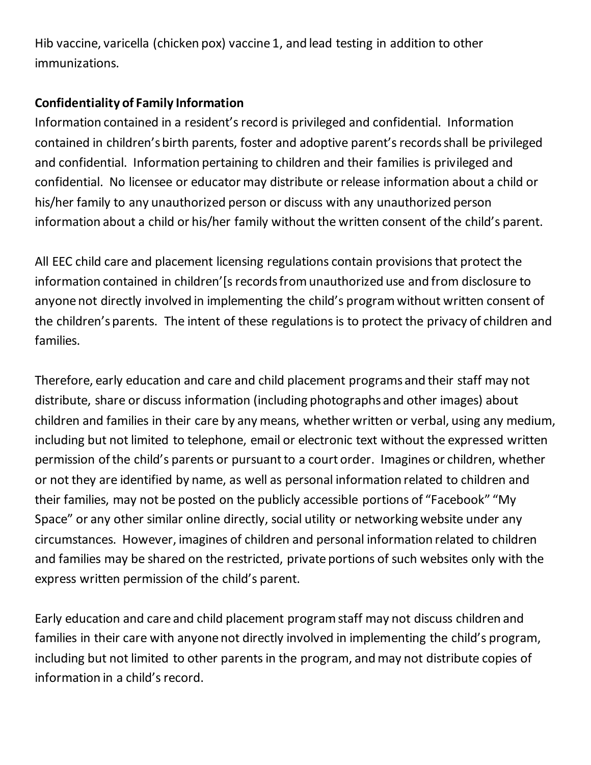Hib vaccine, varicella (chicken pox) vaccine 1, and lead testing in addition to other immunizations.

## **Confidentiality of Family Information**

Information contained in a resident's record is privileged and confidential. Information contained in children's birth parents, foster and adoptive parent's records shall be privileged and confidential. Information pertaining to children and their families is privileged and confidential. No licensee or educator may distribute or release information about a child or his/her family to any unauthorized person or discuss with any unauthorized person information about a child or his/her family without the written consent of the child's parent.

All EEC child care and placement licensing regulations contain provisions that protect the information contained in children'[s records from unauthorized use and from disclosure to anyone not directly involved in implementing the child's program without written consent of the children's parents. The intent of these regulations is to protect the privacy of children and families.

Therefore, early education and care and child placement programs and their staff may not distribute, share or discuss information (including photographs and other images) about children and families in their care by any means, whether written or verbal, using any medium, including but not limited to telephone, email or electronic text without the expressed written permission of the child's parents or pursuant to a court order. Imagines or children, whether or not they are identified by name, as well as personal information related to children and their families, may not be posted on the publicly accessible portions of "Facebook" "My Space" or any other similar online directly, social utility or networking website under any circumstances. However, imagines of children and personal information related to children and families may be shared on the restricted, private portions of such websites only with the express written permission of the child's parent.

Early education and care and child placement program staff may not discuss children and families in their care with anyone not directly involved in implementing the child's program, including but not limited to other parents in the program, and may not distribute copies of information in a child's record.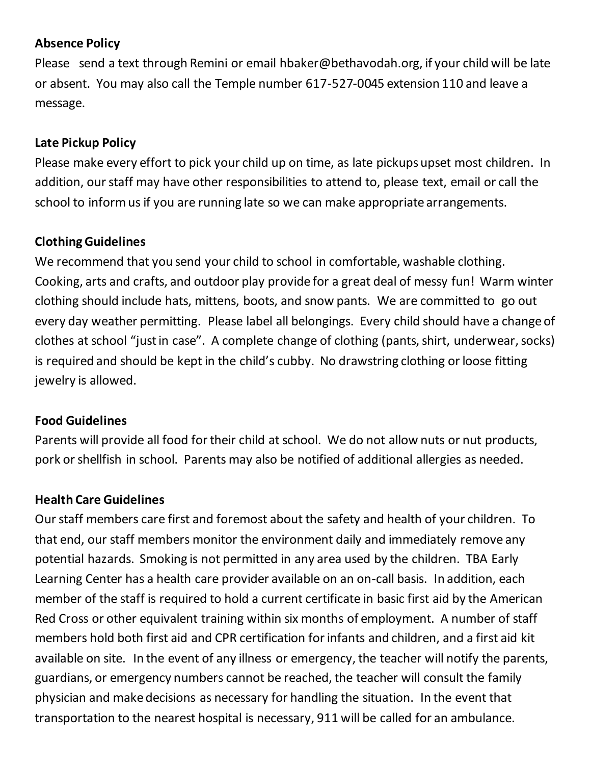## **Absence Policy**

Please send a text through Remini or email hbaker@bethavodah.org, if your child will be late or absent. You may also call the Temple number 617-527-0045 extension 110 and leave a message.

## **Late Pickup Policy**

Please make every effort to pick your child up on time, as late pickups upset most children. In addition, our staff may have other responsibilities to attend to, please text, email or call the school to inform us if you are running late so we can make appropriate arrangements.

#### **Clothing Guidelines**

We recommend that you send your child to school in comfortable, washable clothing. Cooking, arts and crafts, and outdoor play provide for a great deal of messy fun! Warm winter clothing should include hats, mittens, boots, and snow pants. We are committed to go out every day weather permitting. Please label all belongings. Every child should have a change of clothes at school "just in case". A complete change of clothing (pants, shirt, underwear, socks) is required and should be kept in the child's cubby. No drawstring clothing or loose fitting jewelry is allowed.

#### **Food Guidelines**

Parents will provide all food for their child at school. We do not allow nuts or nut products, pork or shellfish in school. Parents may also be notified of additional allergies as needed.

#### **Health Care Guidelines**

Our staff members care first and foremost about the safety and health of your children. To that end, our staff members monitor the environment daily and immediately remove any potential hazards. Smoking is not permitted in any area used by the children. TBA Early Learning Center has a health care provider available on an on-call basis. In addition, each member of the staff is required to hold a current certificate in basic first aid by the American Red Cross or other equivalent training within six months of employment. A number of staff members hold both first aid and CPR certification for infants and children, and a first aid kit available on site. In the event of any illness or emergency, the teacher will notify the parents, guardians, or emergency numbers cannot be reached, the teacher will consult the family physician and make decisions as necessary for handling the situation. In the event that transportation to the nearest hospital is necessary, 911 will be called for an ambulance.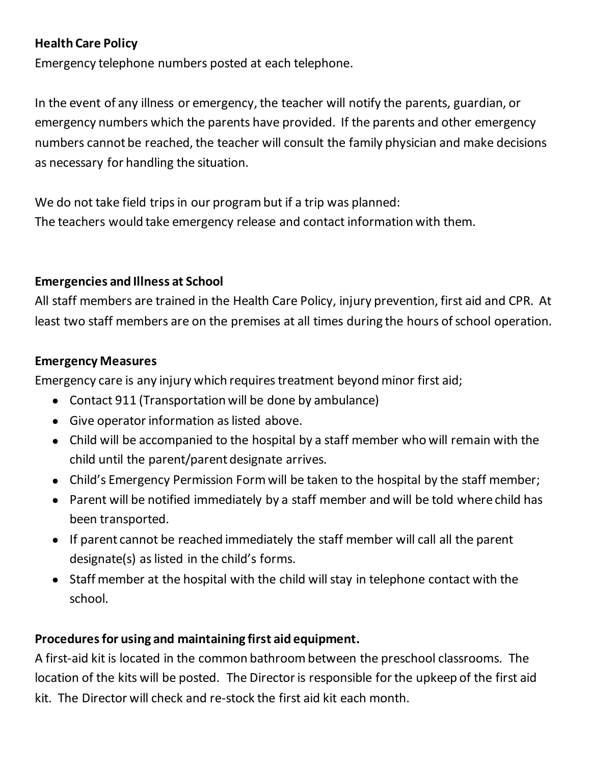## **Health Care Policy**

Emergency telephone numbers posted at each telephone.

In the event of any illness or emergency, the teacher will notify the parents, guardian, or emergency numbers which the parents have provided. If the parents and other emergency numbers cannot be reached, the teacher will consult the family physician and make decisions as necessary for handling the situation.

We do not take field trips in our program but if a trip was planned: The teachers would take emergency release and contact information with them.

## **Emergencies and Illness at School**

All staff members are trained in the Health Care Policy, injury prevention, first aid and CPR. At least two staff members are on the premises at all times during the hours of school operation.

#### **Emergency Measures**

Emergency care is any injury which requires treatment beyond minor first aid;

- Contact 911 (Transportation will be done by ambulance)
- Give operator information as listed above.
- Child will be accompanied to the hospital by a staff member who will remain with the child until the parent/parent designate arrives.
- Child's Emergency Permission Form will be taken to the hospital by the staff member;
- Parent will be notified immediately by a staff member and will be told where child has been transported.
- If parent cannot be reached immediately the staff member will call all the parent designate(s) as listed in the child's forms.
- Staff member at the hospital with the child will stay in telephone contact with the school.

## **Procedures for using and maintaining first aid equipment.**

A first-aid kit is located in the common bathroom between the preschool classrooms. The location of the kits will be posted. The Director is responsible for the upkeep of the first aid kit. The Director will check and re-stock the first aid kit each month.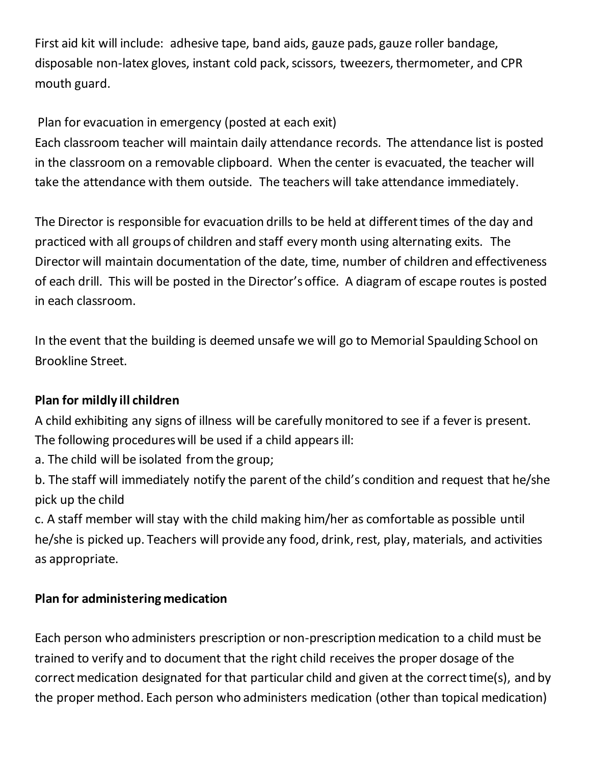First aid kit will include: adhesive tape, band aids, gauze pads, gauze roller bandage, disposable non-latex gloves, instant cold pack, scissors, tweezers, thermometer, and CPR mouth guard.

# Plan for evacuation in emergency (posted at each exit)

Each classroom teacher will maintain daily attendance records. The attendance list is posted in the classroom on a removable clipboard. When the center is evacuated, the teacher will take the attendance with them outside. The teachers will take attendance immediately.

The Director is responsible for evacuation drills to be held at different times of the day and practiced with all groups of children and staff every month using alternating exits. The Director will maintain documentation of the date, time, number of children and effectiveness of each drill. This will be posted in the Director's office. A diagram of escape routes is posted in each classroom.

In the event that the building is deemed unsafe we will go to Memorial Spaulding School on Brookline Street.

# **Plan for mildly ill children**

A child exhibiting any signs of illness will be carefully monitored to see if a fever is present. The following procedures will be used if a child appears ill:

a. The child will be isolated from the group;

b. The staff will immediately notify the parent of the child's condition and request that he/she pick up the child

c. A staff member will stay with the child making him/her as comfortable as possible until he/she is picked up. Teachers will provide any food, drink, rest, play, materials, and activities as appropriate.

## **Plan for administering medication**

Each person who administers prescription or non-prescription medication to a child must be trained to verify and to document that the right child receives the proper dosage of the correct medication designated for that particular child and given at the correct time(s), and by the proper method. Each person who administers medication (other than topical medication)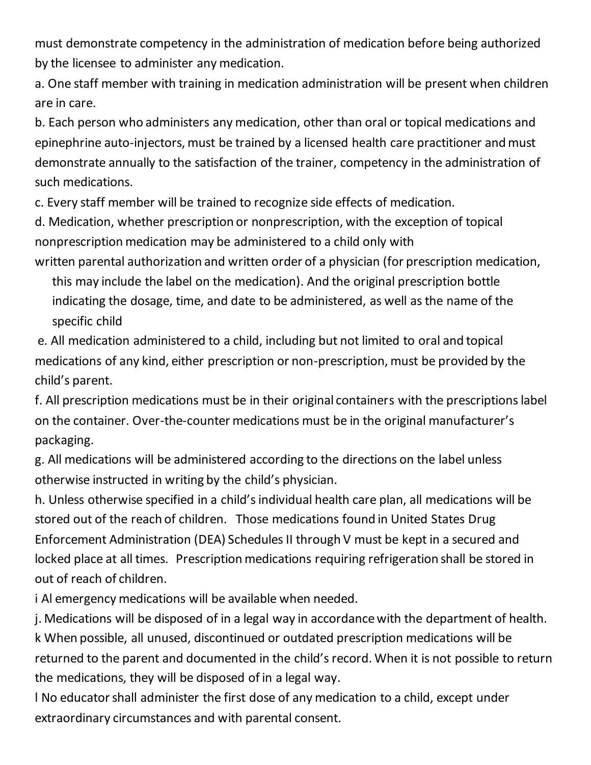must demonstrate competency in the administration of medication before being authorized by the licensee to administer any medication.

a. One staff member with training in medication administration will be present when children are in care.

b. Each person who administers any medication, other than oral or topical medications and epinephrine auto-injectors, must be trained by a licensed health care practitioner and must demonstrate annually to the satisfaction of the trainer, competency in the administration of such medications.

c. Every staff member will be trained to recognize side effects of medication.

d. Medication, whether prescription or nonprescription, with the exception of topical nonprescription medication may be administered to a child only with

written parental authorization and written order of a physician (for prescription medication,

this may include the label on the medication). And the original prescription bottle indicating the dosage, time, and date to be administered, as well as the name of the specific child

e. All medication administered to a child, including but not limited to oral and topical medications of any kind, either prescription or non-prescription, must be provided by the child's parent.

f. All prescription medications must be in their original containers with the prescriptions label on the container. Over-the-counter medications must be in the original manufacturer's packaging.

g. All medications will be administered according to the directions on the label unless otherwise instructed in writing by the child's physician.

h. Unless otherwise specified in a child's individual health care plan, all medications will be stored out of the reach of children. Those medications found in United States Drug Enforcement Administration (DEA) Schedules II through V must be kept in a secured and locked place at all times. Prescription medications requiring refrigeration shall be stored in out of reach of children.

i Al emergency medications will be available when needed.

j. Medications will be disposed of in a legal way in accordance with the department of health. k When possible, all unused, discontinued or outdated prescription medications will be returned to the parent and documented in the child's record. When it is not possible to return the medications, they will be disposed of in a legal way.

l No educator shall administer the first dose of any medication to a child, except under extraordinary circumstances and with parental consent.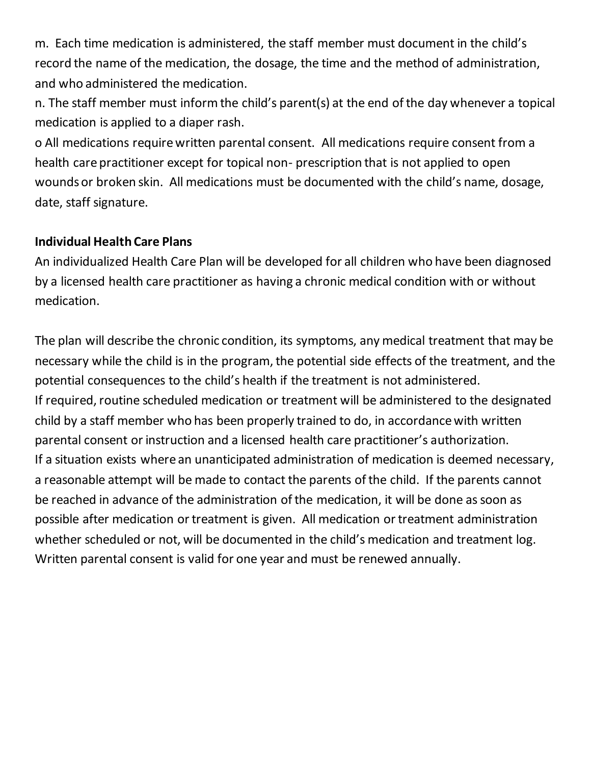m. Each time medication is administered, the staff member must document in the child's record the name of the medication, the dosage, the time and the method of administration, and who administered the medication.

n. The staff member must inform the child's parent(s) at the end of the day whenever a topical medication is applied to a diaper rash.

o All medications require written parental consent. All medications require consent from a health care practitioner except for topical non- prescription that is not applied to open wounds or broken skin. All medications must be documented with the child's name, dosage, date, staff signature.

#### **Individual Health Care Plans**

An individualized Health Care Plan will be developed for all children who have been diagnosed by a licensed health care practitioner as having a chronic medical condition with or without medication.

The plan will describe the chronic condition, its symptoms, any medical treatment that may be necessary while the child is in the program, the potential side effects of the treatment, and the potential consequences to the child's health if the treatment is not administered. If required, routine scheduled medication or treatment will be administered to the designated child by a staff member who has been properly trained to do, in accordance with written parental consent or instruction and a licensed health care practitioner's authorization. If a situation exists where an unanticipated administration of medication is deemed necessary, a reasonable attempt will be made to contact the parents of the child. If the parents cannot be reached in advance of the administration of the medication, it will be done as soon as possible after medication or treatment is given. All medication or treatment administration whether scheduled or not, will be documented in the child's medication and treatment log. Written parental consent is valid for one year and must be renewed annually.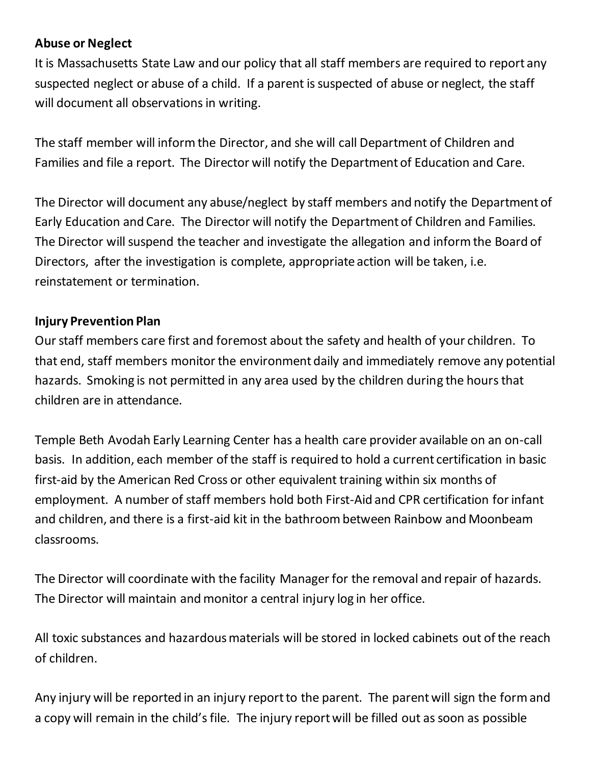## **Abuse or Neglect**

It is Massachusetts State Law and our policy that all staff members are required to report any suspected neglect or abuse of a child. If a parent is suspected of abuse or neglect, the staff will document all observations in writing.

The staff member will inform the Director, and she will call Department of Children and Families and file a report. The Director will notify the Department of Education and Care.

The Director will document any abuse/neglect by staff members and notify the Department of Early Education and Care. The Director will notify the Department of Children and Families. The Director will suspend the teacher and investigate the allegation and inform the Board of Directors, after the investigation is complete, appropriate action will be taken, i.e. reinstatement or termination.

## **Injury Prevention Plan**

Our staff members care first and foremost about the safety and health of your children. To that end, staff members monitor the environment daily and immediately remove any potential hazards. Smoking is not permitted in any area used by the children during the hours that children are in attendance.

Temple Beth Avodah Early Learning Center has a health care provider available on an on-call basis. In addition, each member of the staff is required to hold a current certification in basic first-aid by the American Red Cross or other equivalent training within six months of employment. A number of staff members hold both First-Aid and CPR certification for infant and children, and there is a first-aid kit in the bathroom between Rainbow and Moonbeam classrooms.

The Director will coordinate with the facility Manager for the removal and repair of hazards. The Director will maintain and monitor a central injury log in her office.

All toxic substances and hazardous materials will be stored in locked cabinets out of the reach of children.

Any injury will be reported in an injury report to the parent. The parent will sign the form and a copy will remain in the child's file. The injury report will be filled out as soon as possible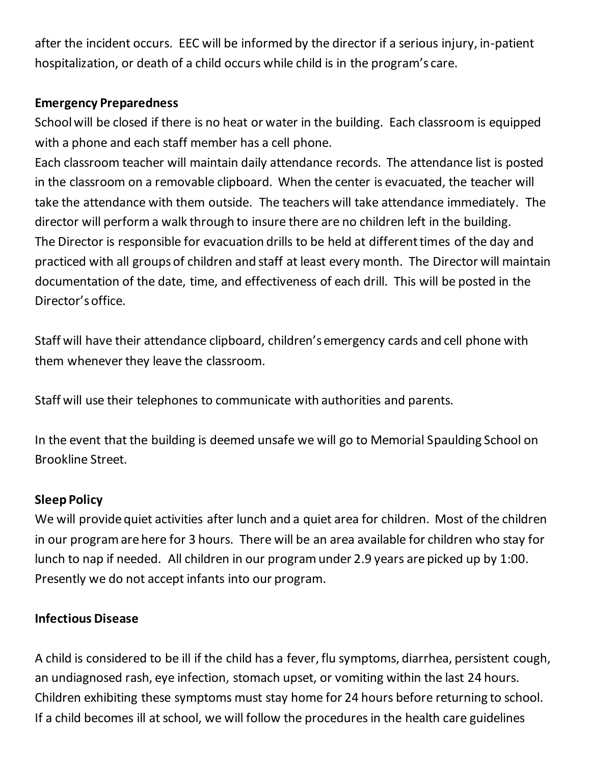after the incident occurs. EEC will be informed by the director if a serious injury, in-patient hospitalization, or death of a child occurs while child is in the program's care.

## **Emergency Preparedness**

School will be closed if there is no heat or water in the building. Each classroom is equipped with a phone and each staff member has a cell phone.

Each classroom teacher will maintain daily attendance records. The attendance list is posted in the classroom on a removable clipboard. When the center is evacuated, the teacher will take the attendance with them outside. The teachers will take attendance immediately. The director will perform a walk through to insure there are no children left in the building. The Director is responsible for evacuation drills to be held at different times of the day and practiced with all groups of children and staff at least every month. The Director will maintain documentation of the date, time, and effectiveness of each drill. This will be posted in the Director's office.

Staff will have their attendance clipboard, children's emergency cards and cell phone with them whenever they leave the classroom.

Staff will use their telephones to communicate with authorities and parents.

In the event that the building is deemed unsafe we will go to Memorial Spaulding School on Brookline Street.

## **Sleep Policy**

We will provide quiet activities after lunch and a quiet area for children. Most of the children in our program are here for 3 hours. There will be an area available for children who stay for lunch to nap if needed. All children in our program under 2.9 years are picked up by 1:00. Presently we do not accept infants into our program.

## **Infectious Disease**

A child is considered to be ill if the child has a fever, flu symptoms, diarrhea, persistent cough, an undiagnosed rash, eye infection, stomach upset, or vomiting within the last 24 hours. Children exhibiting these symptoms must stay home for 24 hours before returning to school. If a child becomes ill at school, we will follow the procedures in the health care guidelines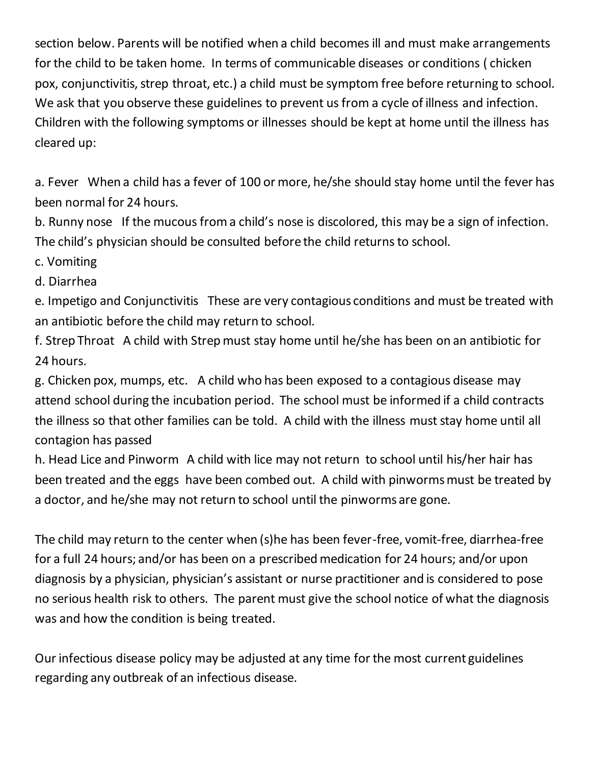section below. Parents will be notified when a child becomes ill and must make arrangements for the child to be taken home. In terms of communicable diseases or conditions ( chicken pox, conjunctivitis, strep throat, etc.) a child must be symptom free before returning to school. We ask that you observe these guidelines to prevent us from a cycle of illness and infection. Children with the following symptoms or illnesses should be kept at home until the illness has cleared up:

a. Fever When a child has a fever of 100 or more, he/she should stay home until the fever has been normal for 24 hours.

b. Runny nose If the mucous from a child's nose is discolored, this may be a sign of infection. The child's physician should be consulted before the child returns to school.

c. Vomiting

d. Diarrhea

e. Impetigo and Conjunctivitis These are very contagious conditions and must be treated with an antibiotic before the child may return to school.

f. Strep Throat A child with Strep must stay home until he/she has been on an antibiotic for 24 hours.

g. Chicken pox, mumps, etc. A child who has been exposed to a contagious disease may attend school during the incubation period. The school must be informed if a child contracts the illness so that other families can be told. A child with the illness must stay home until all contagion has passed

h. Head Lice and Pinworm A child with lice may not return to school until his/her hair has been treated and the eggs have been combed out. A child with pinworms must be treated by a doctor, and he/she may not return to school until the pinworms are gone.

The child may return to the center when (s)he has been fever-free, vomit-free, diarrhea-free for a full 24 hours; and/or has been on a prescribed medication for 24 hours; and/or upon diagnosis by a physician, physician's assistant or nurse practitioner and is considered to pose no serious health risk to others. The parent must give the school notice of what the diagnosis was and how the condition is being treated.

Our infectious disease policy may be adjusted at any time for the most current guidelines regarding any outbreak of an infectious disease.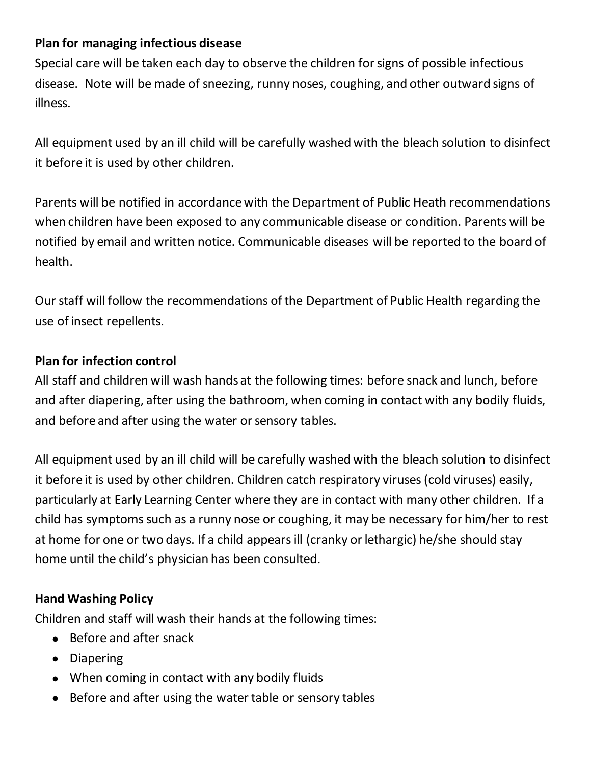## **Plan for managing infectious disease**

Special care will be taken each day to observe the children for signs of possible infectious disease. Note will be made of sneezing, runny noses, coughing, and other outward signs of illness.

All equipment used by an ill child will be carefully washed with the bleach solution to disinfect it before it is used by other children.

Parents will be notified in accordance with the Department of Public Heath recommendations when children have been exposed to any communicable disease or condition. Parents will be notified by email and written notice. Communicable diseases will be reported to the board of health.

Our staff will follow the recommendations of the Department of Public Health regarding the use of insect repellents.

## **Plan for infection control**

All staff and children will wash hands at the following times: before snack and lunch, before and after diapering, after using the bathroom, when coming in contact with any bodily fluids, and before and after using the water or sensory tables.

All equipment used by an ill child will be carefully washed with the bleach solution to disinfect it before it is used by other children. Children catch respiratory viruses (cold viruses) easily, particularly at Early Learning Center where they are in contact with many other children. If a child has symptoms such as a runny nose or coughing, it may be necessary for him/her to rest at home for one or two days. If a child appears ill (cranky or lethargic) he/she should stay home until the child's physician has been consulted.

## **Hand Washing Policy**

Children and staff will wash their hands at the following times:

- Before and after snack
- Diapering
- When coming in contact with any bodily fluids
- Before and after using the water table or sensory tables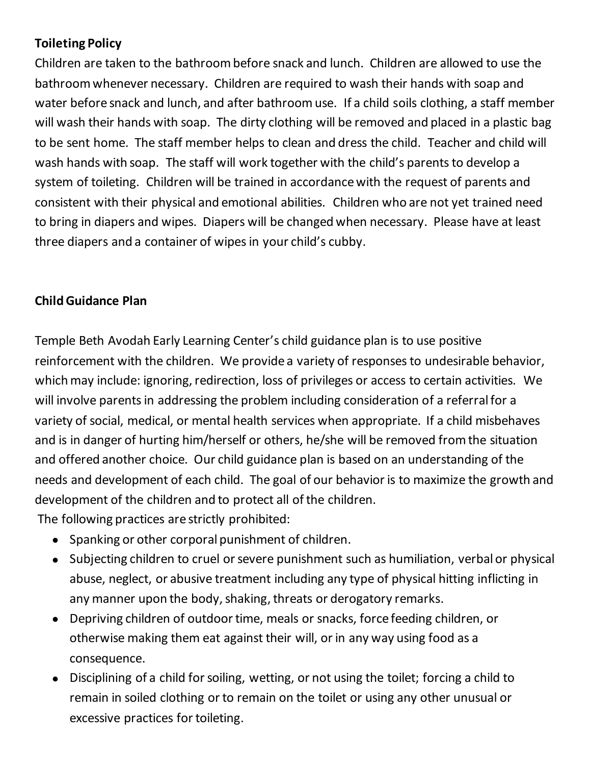# **Toileting Policy**

Children are taken to the bathroom before snack and lunch. Children are allowed to use the bathroom whenever necessary. Children are required to wash their hands with soap and water before snack and lunch, and after bathroom use. If a child soils clothing, a staff member will wash their hands with soap. The dirty clothing will be removed and placed in a plastic bag to be sent home. The staff member helps to clean and dress the child. Teacher and child will wash hands with soap. The staff will work together with the child's parents to develop a system of toileting. Children will be trained in accordance with the request of parents and consistent with their physical and emotional abilities. Children who are not yet trained need to bring in diapers and wipes. Diapers will be changed when necessary. Please have at least three diapers and a container of wipes in your child's cubby.

## **Child Guidance Plan**

Temple Beth Avodah Early Learning Center's child guidance plan is to use positive reinforcement with the children. We provide a variety of responses to undesirable behavior, which may include: ignoring, redirection, loss of privileges or access to certain activities. We will involve parents in addressing the problem including consideration of a referral for a variety of social, medical, or mental health services when appropriate. If a child misbehaves and is in danger of hurting him/herself or others, he/she will be removed from the situation and offered another choice. Our child guidance plan is based on an understanding of the needs and development of each child. The goal of our behavior is to maximize the growth and development of the children and to protect all of the children.

The following practices are strictly prohibited:

- Spanking or other corporal punishment of children.
- Subjecting children to cruel or severe punishment such as humiliation, verbal or physical abuse, neglect, or abusive treatment including any type of physical hitting inflicting in any manner upon the body, shaking, threats or derogatory remarks.
- Depriving children of outdoor time, meals or snacks, force feeding children, or otherwise making them eat against their will, or in any way using food as a consequence.
- Disciplining of a child for soiling, wetting, or not using the toilet; forcing a child to remain in soiled clothing or to remain on the toilet or using any other unusual or excessive practices for toileting.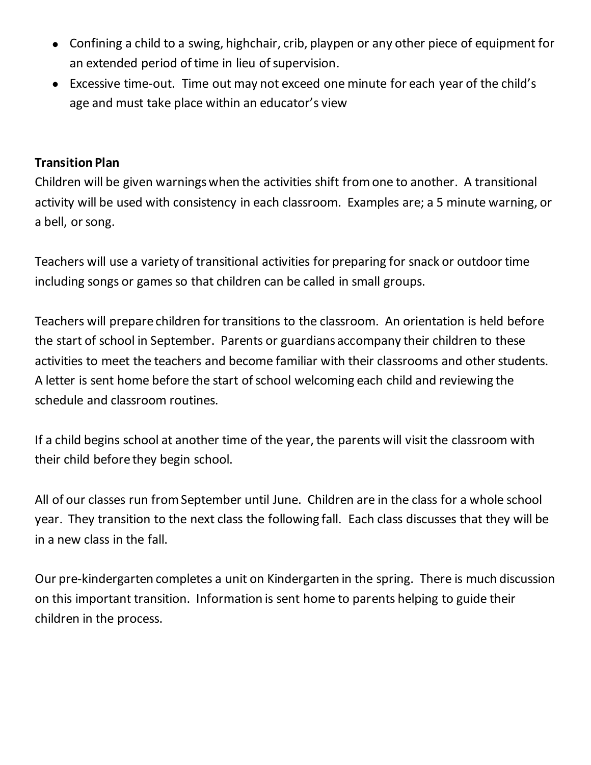- Confining a child to a swing, highchair, crib, playpen or any other piece of equipment for an extended period of time in lieu of supervision.
- Excessive time-out. Time out may not exceed one minute for each year of the child's age and must take place within an educator's view

#### **Transition Plan**

Children will be given warnings when the activities shift from one to another. A transitional activity will be used with consistency in each classroom. Examples are; a 5 minute warning, or a bell, or song.

Teachers will use a variety of transitional activities for preparing for snack or outdoor time including songs or games so that children can be called in small groups.

Teachers will prepare children for transitions to the classroom. An orientation is held before the start of school in September. Parents or guardians accompany their children to these activities to meet the teachers and become familiar with their classrooms and other students. A letter is sent home before the start of school welcoming each child and reviewing the schedule and classroom routines.

If a child begins school at another time of the year, the parents will visit the classroom with their child before they begin school.

All of our classes run from September until June. Children are in the class for a whole school year. They transition to the next class the following fall. Each class discusses that they will be in a new class in the fall.

Our pre-kindergarten completes a unit on Kindergarten in the spring. There is much discussion on this important transition. Information is sent home to parents helping to guide their children in the process.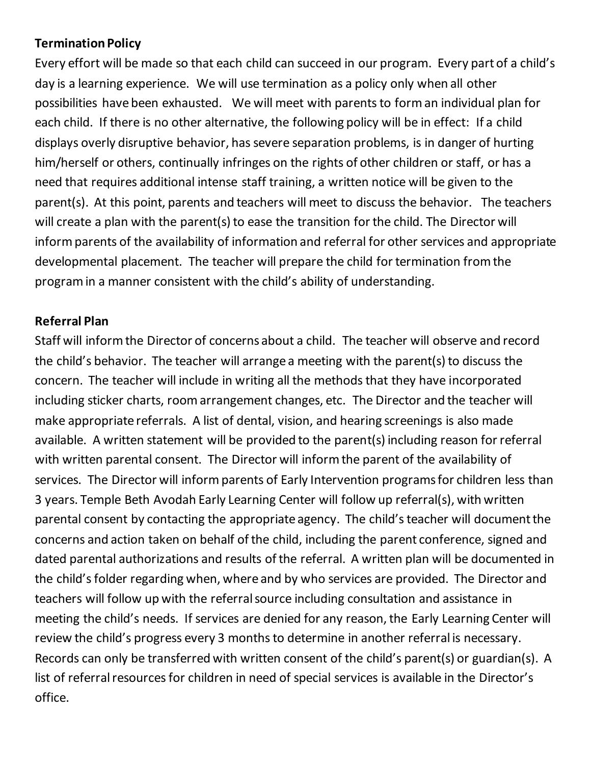## **Termination Policy**

Every effort will be made so that each child can succeed in our program. Every part of a child's day is a learning experience. We will use termination as a policy only when all other possibilities have been exhausted. We will meet with parents to form an individual plan for each child. If there is no other alternative, the following policy will be in effect: If a child displays overly disruptive behavior, has severe separation problems, is in danger of hurting him/herself or others, continually infringes on the rights of other children or staff, or has a need that requires additional intense staff training, a written notice will be given to the parent(s). At this point, parents and teachers will meet to discuss the behavior. The teachers will create a plan with the parent(s) to ease the transition for the child. The Director will inform parents of the availability of information and referral for other services and appropriate developmental placement. The teacher will prepare the child for termination from the program in a manner consistent with the child's ability of understanding.

#### **Referral Plan**

Staff will inform the Director of concerns about a child. The teacher will observe and record the child's behavior. The teacher will arrange a meeting with the parent(s) to discuss the concern. The teacher will include in writing all the methods that they have incorporated including sticker charts, room arrangement changes, etc. The Director and the teacher will make appropriate referrals. A list of dental, vision, and hearing screenings is also made available. A written statement will be provided to the parent(s) including reason for referral with written parental consent. The Director will inform the parent of the availability of services. The Director will inform parents of Early Intervention programs for children less than 3 years. Temple Beth Avodah Early Learning Center will follow up referral(s), with written parental consent by contacting the appropriate agency. The child's teacher will document the concerns and action taken on behalf of the child, including the parent conference, signed and dated parental authorizations and results of the referral. A written plan will be documented in the child's folder regarding when, where and by who services are provided. The Director and teachers will follow up with the referral source including consultation and assistance in meeting the child's needs. If services are denied for any reason, the Early Learning Center will review the child's progress every 3 months to determine in another referral is necessary. Records can only be transferred with written consent of the child's parent(s) or guardian(s). A list of referral resources for children in need of special services is available in the Director's office.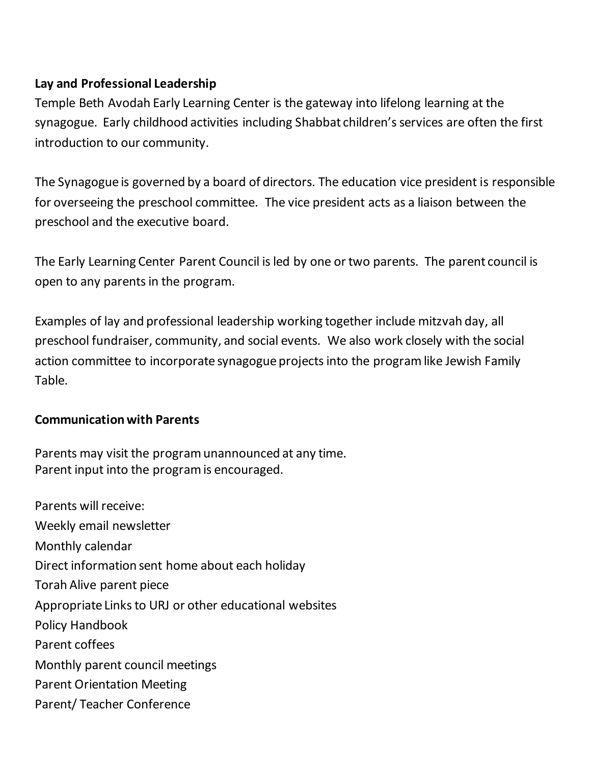## **Lay and Professional Leadership**

Temple Beth Avodah Early Learning Center is the gateway into lifelong learning at the synagogue. Early childhood activities including Shabbat children's services are often the first introduction to our community.

The Synagogue is governed by a board of directors. The education vice president is responsible for overseeing the preschool committee. The vice president acts as a liaison between the preschool and the executive board.

The Early Learning Center Parent Council is led by one or two parents. The parent council is open to any parents in the program.

Examples of lay and professional leadership working together include mitzvah day, all preschool fundraiser, community, and social events. We also work closely with the social action committee to incorporate synagogue projects into the program like Jewish Family Table.

## **Communication with Parents**

Parents may visit the program unannounced at any time. Parent input into the program is encouraged.

Parents will receive: Weekly email newsletter Monthly calendar Direct information sent home about each holiday Torah Alive parent piece Appropriate Links to URJ or other educational websites Policy Handbook Parent coffees Monthly parent council meetings Parent Orientation Meeting Parent/ Teacher Conference